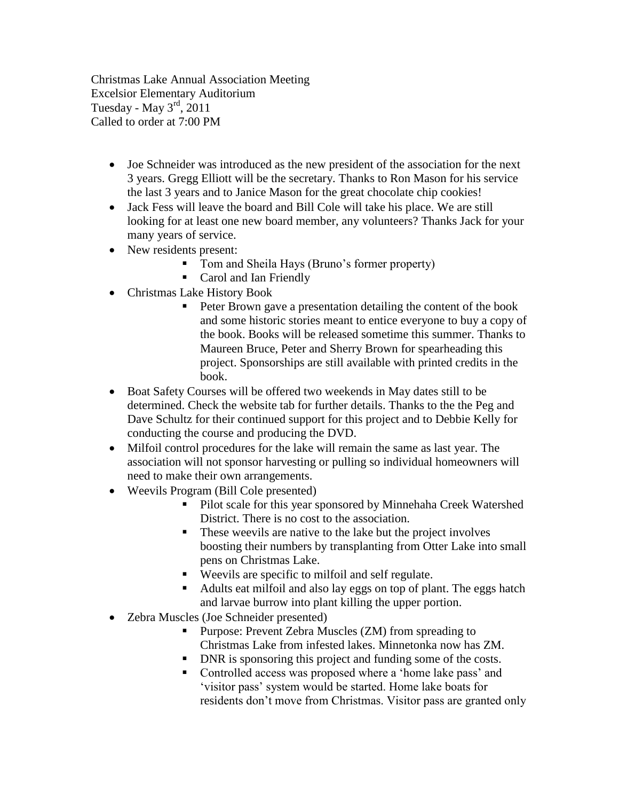Christmas Lake Annual Association Meeting Excelsior Elementary Auditorium Tuesday - May  $3<sup>rd</sup>$ , 2011 Called to order at 7:00 PM

- Joe Schneider was introduced as the new president of the association for the next 3 years. Gregg Elliott will be the secretary. Thanks to Ron Mason for his service the last 3 years and to Janice Mason for the great chocolate chip cookies!
- Jack Fess will leave the board and Bill Cole will take his place. We are still looking for at least one new board member, any volunteers? Thanks Jack for your many years of service.
- New residents present:
	- Tom and Sheila Hays (Bruno's former property)
	- Carol and Ian Friendly
- Christmas Lake History Book
	- Peter Brown gave a presentation detailing the content of the book and some historic stories meant to entice everyone to buy a copy of the book. Books will be released sometime this summer. Thanks to Maureen Bruce, Peter and Sherry Brown for spearheading this project. Sponsorships are still available with printed credits in the book.
- Boat Safety Courses will be offered two weekends in May dates still to be determined. Check the website tab for further details. Thanks to the the Peg and Dave Schultz for their continued support for this project and to Debbie Kelly for conducting the course and producing the DVD.
- Milfoil control procedures for the lake will remain the same as last year. The association will not sponsor harvesting or pulling so individual homeowners will need to make their own arrangements.
- Weevils Program (Bill Cole presented)
	- **Pilot scale for this year sponsored by Minnehaha Creek Watershed** District. There is no cost to the association.
	- These weevils are native to the lake but the project involves boosting their numbers by transplanting from Otter Lake into small pens on Christmas Lake.
	- Weevils are specific to milfoil and self regulate.
	- Adults eat milfoil and also lay eggs on top of plant. The eggs hatch and larvae burrow into plant killing the upper portion.
- Zebra Muscles (Joe Schneider presented)
	- **Purpose: Prevent Zebra Muscles (ZM) from spreading to** Christmas Lake from infested lakes. Minnetonka now has ZM.
	- DNR is sponsoring this project and funding some of the costs.
	- Controlled access was proposed where a 'home lake pass' and "visitor pass" system would be started. Home lake boats for residents don"t move from Christmas. Visitor pass are granted only